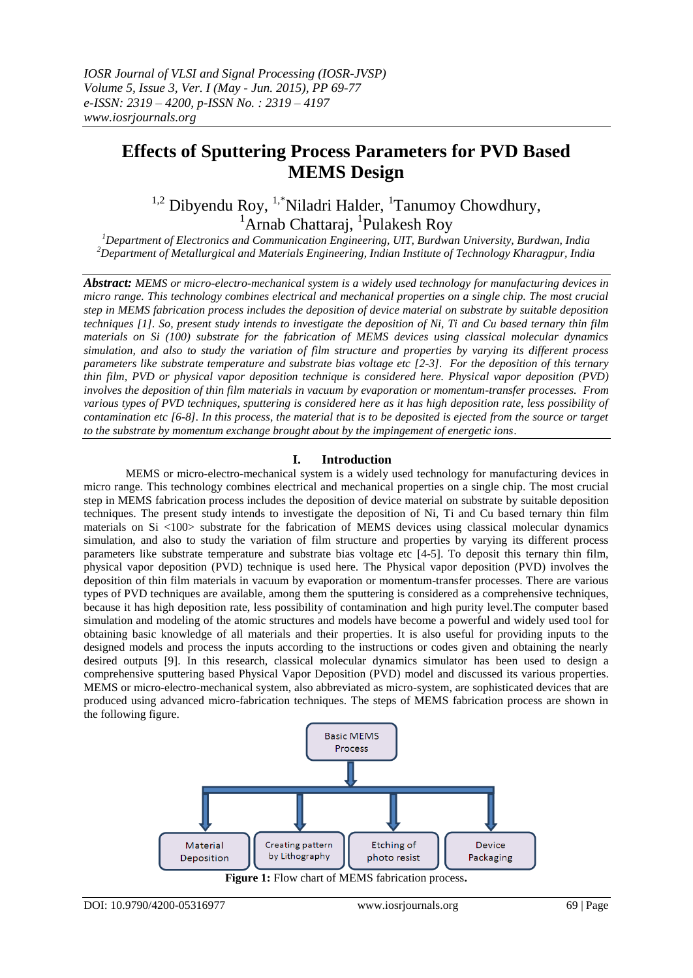# **Effects of Sputtering Process Parameters for PVD Based MEMS Design**

 $1,2$  Dibyendu Roy,  $1,5$  Niladri Halder,  $1$ Tanumoy Chowdhury, <sup>1</sup> Arnab Chattaraj, <sup>1</sup>Pulakesh Roy

*<sup>1</sup>Department of Electronics and Communication Engineering, UIT, Burdwan University, Burdwan, India <sup>2</sup>Department of Metallurgical and Materials Engineering, Indian Institute of Technology Kharagpur, India*

*Abstract: MEMS or micro-electro-mechanical system is a widely used technology for manufacturing devices in micro range. This technology combines electrical and mechanical properties on a single chip. The most crucial step in MEMS fabrication process includes the deposition of device material on substrate by suitable deposition techniques [1]. So, present study intends to investigate the deposition of Ni, Ti and Cu based ternary thin film materials on Si (100) substrate for the fabrication of MEMS devices using classical molecular dynamics simulation, and also to study the variation of film structure and properties by varying its different process parameters like substrate temperature and substrate bias voltage etc [2-3]. For the deposition of this ternary thin film, PVD or physical vapor deposition technique is considered here. Physical vapor deposition (PVD) involves the deposition of thin film materials in vacuum by evaporation or momentum-transfer processes. From various types of PVD techniques, sputtering is considered here as it has high deposition rate, less possibility of contamination etc [6-8]. In this process, the material that is to be deposited is ejected from the source or target to the substrate by momentum exchange brought about by the impingement of energetic ions*.

# **I. Introduction**

MEMS or micro-electro-mechanical system is a widely used technology for manufacturing devices in micro range. This technology combines electrical and mechanical properties on a single chip. The most crucial step in MEMS fabrication process includes the deposition of device material on substrate by suitable deposition techniques. The present study intends to investigate the deposition of Ni, Ti and Cu based ternary thin film materials on Si <100> substrate for the fabrication of MEMS devices using classical molecular dynamics simulation, and also to study the variation of film structure and properties by varying its different process parameters like substrate temperature and substrate bias voltage etc [4-5]. To deposit this ternary thin film, physical vapor deposition (PVD) technique is used here. The Physical vapor deposition (PVD) involves the deposition of thin film materials in vacuum by evaporation or momentum-transfer processes. There are various types of PVD techniques are available, among them the sputtering is considered as a comprehensive techniques, because it has high deposition rate, less possibility of contamination and high purity level.The computer based simulation and modeling of the atomic structures and models have become a powerful and widely used tool for obtaining basic knowledge of all materials and their properties. It is also useful for providing inputs to the designed models and process the inputs according to the instructions or codes given and obtaining the nearly desired outputs [9]. In this research, classical molecular dynamics simulator has been used to design a comprehensive sputtering based Physical Vapor Deposition (PVD) model and discussed its various properties. MEMS or micro-electro-mechanical system, also abbreviated as micro-system, are sophisticated devices that are produced using advanced micro-fabrication techniques. The steps of MEMS fabrication process are shown in the following figure.



**Figure 1:** Flow chart of MEMS fabrication process**.**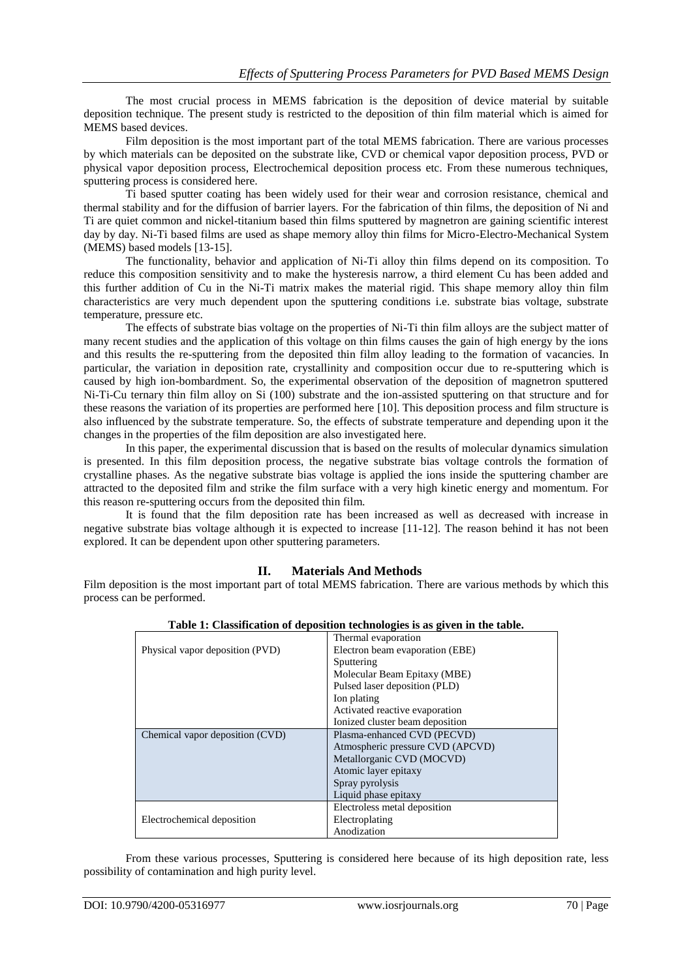The most crucial process in MEMS fabrication is the deposition of device material by suitable deposition technique. The present study is restricted to the deposition of thin film material which is aimed for MEMS based devices.

Film deposition is the most important part of the total MEMS fabrication. There are various processes by which materials can be deposited on the substrate like, CVD or chemical vapor deposition process, PVD or physical vapor deposition process, Electrochemical deposition process etc. From these numerous techniques, sputtering process is considered here.

Ti based sputter coating has been widely used for their wear and corrosion resistance, chemical and thermal stability and for the diffusion of barrier layers. For the fabrication of thin films, the deposition of Ni and Ti are quiet common and nickel-titanium based thin films sputtered by magnetron are gaining scientific interest day by day. Ni-Ti based films are used as shape memory alloy thin films for Micro-Electro-Mechanical System (MEMS) based models [13-15].

The functionality, behavior and application of Ni-Ti alloy thin films depend on its composition. To reduce this composition sensitivity and to make the hysteresis narrow, a third element Cu has been added and this further addition of Cu in the Ni-Ti matrix makes the material rigid. This shape memory alloy thin film characteristics are very much dependent upon the sputtering conditions i.e. substrate bias voltage, substrate temperature, pressure etc.

The effects of substrate bias voltage on the properties of Ni-Ti thin film alloys are the subject matter of many recent studies and the application of this voltage on thin films causes the gain of high energy by the ions and this results the re-sputtering from the deposited thin film alloy leading to the formation of vacancies. In particular, the variation in deposition rate, crystallinity and composition occur due to re-sputtering which is caused by high ion-bombardment. So, the experimental observation of the deposition of magnetron sputtered Ni-Ti-Cu ternary thin film alloy on Si (100) substrate and the ion-assisted sputtering on that structure and for these reasons the variation of its properties are performed here [10]. This deposition process and film structure is also influenced by the substrate temperature. So, the effects of substrate temperature and depending upon it the changes in the properties of the film deposition are also investigated here.

In this paper, the experimental discussion that is based on the results of molecular dynamics simulation is presented. In this film deposition process, the negative substrate bias voltage controls the formation of crystalline phases. As the negative substrate bias voltage is applied the ions inside the sputtering chamber are attracted to the deposited film and strike the film surface with a very high kinetic energy and momentum. For this reason re-sputtering occurs from the deposited thin film.

It is found that the film deposition rate has been increased as well as decreased with increase in negative substrate bias voltage although it is expected to increase [11-12]. The reason behind it has not been explored. It can be dependent upon other sputtering parameters.

## **II. Materials And Methods**

Film deposition is the most important part of total MEMS fabrication. There are various methods by which this process can be performed.

|                                 | Thermal evaporation              |
|---------------------------------|----------------------------------|
| Physical vapor deposition (PVD) | Electron beam evaporation (EBE)  |
|                                 | Sputtering                       |
|                                 | Molecular Beam Epitaxy (MBE)     |
|                                 | Pulsed laser deposition (PLD)    |
|                                 | Ion plating                      |
|                                 | Activated reactive evaporation   |
|                                 | Ionized cluster beam deposition  |
| Chemical vapor deposition (CVD) | Plasma-enhanced CVD (PECVD)      |
|                                 | Atmospheric pressure CVD (APCVD) |
|                                 | Metallorganic CVD (MOCVD)        |
|                                 | Atomic layer epitaxy             |
|                                 | Spray pyrolysis                  |
|                                 | Liquid phase epitaxy             |
|                                 | Electroless metal deposition     |
| Electrochemical deposition      | Electroplating                   |
|                                 | Anodization                      |

**Table 1: Classification of deposition technologies is as given in the table.**

From these various processes, Sputtering is considered here because of its high deposition rate, less possibility of contamination and high purity level.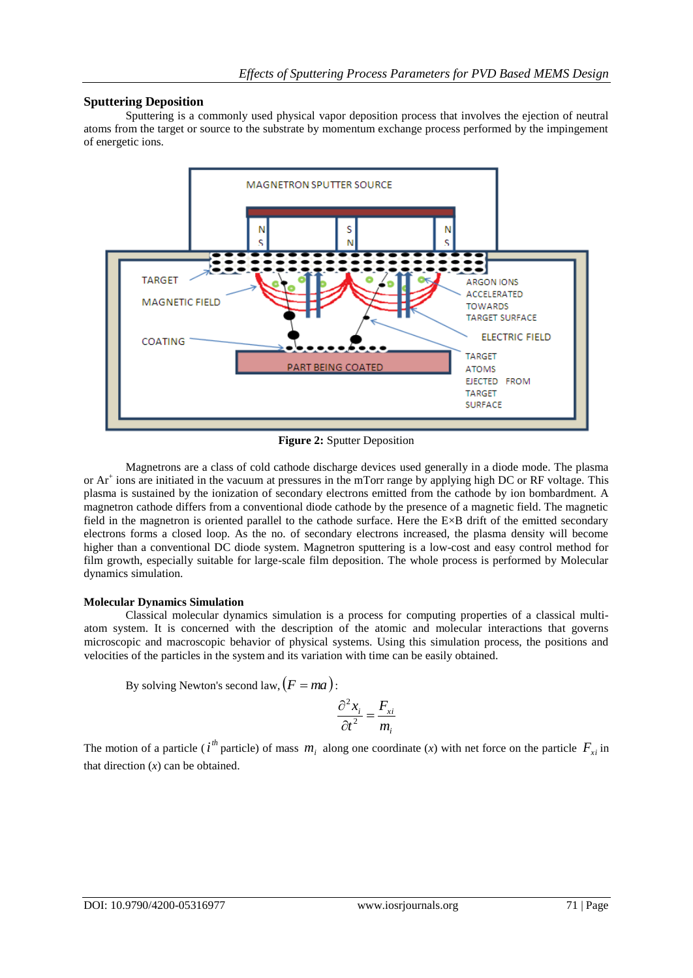# **Sputtering Deposition**

Sputtering is a commonly used physical vapor deposition process that involves the ejection of neutral atoms from the target or source to the substrate by momentum exchange process performed by the impingement of energetic ions.



**Figure 2:** Sputter Deposition

Magnetrons are a class of cold cathode discharge devices used generally in a diode mode. The plasma or Ar<sup>+</sup> ions are initiated in the vacuum at pressures in the mTorr range by applying high DC or RF voltage. This plasma is sustained by the ionization of secondary electrons emitted from the cathode by ion bombardment. A magnetron cathode differs from a conventional diode cathode by the presence of a magnetic field. The magnetic field in the magnetron is oriented parallel to the cathode surface. Here the E×B drift of the emitted secondary electrons forms a closed loop. As the no. of secondary electrons increased, the plasma density will become higher than a conventional DC diode system. Magnetron sputtering is a low-cost and easy control method for film growth, especially suitable for large-scale film deposition. The whole process is performed by Molecular dynamics simulation.

## **Molecular Dynamics Simulation**

Classical molecular dynamics simulation is a process for computing properties of a classical multiatom system. It is concerned with the description of the atomic and molecular interactions that governs microscopic and macroscopic behavior of physical systems. Using this simulation process, the positions and velocities of the particles in the system and its variation with time can be easily obtained.

By solving Newton's second law, 
$$
(F = ma)
$$
:

$$
\frac{\partial^2 x_i}{\partial t^2} = \frac{F_{xi}}{m_i}
$$

The motion of a particle (*i*<sup>th</sup> particle) of mass  $m_i$  along one coordinate (*x*) with net force on the particle  $F_{xi}$  in that direction  $(x)$  can be obtained.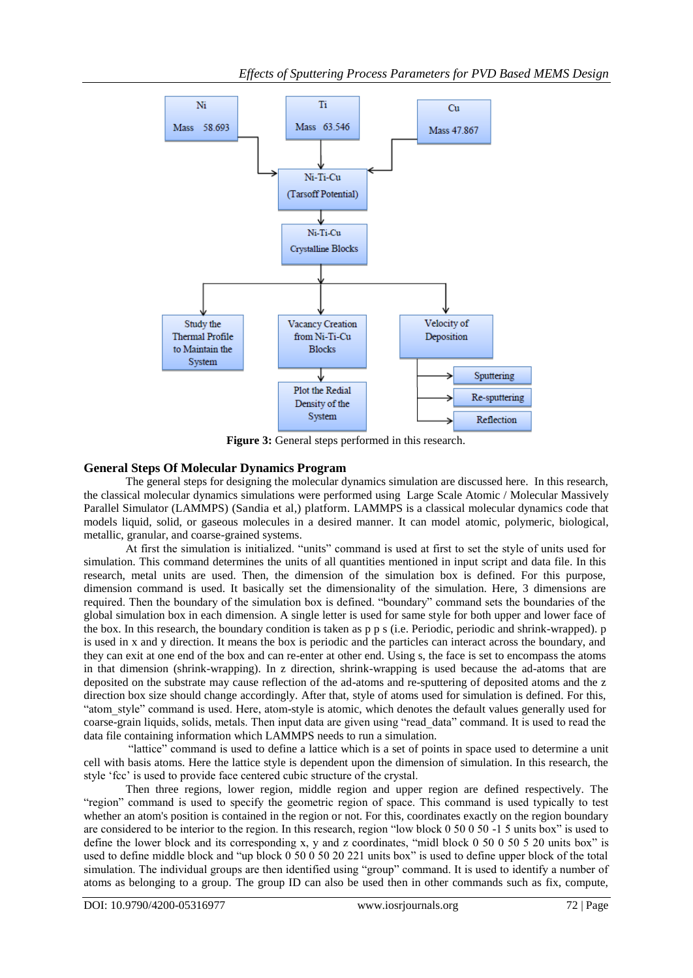

**Figure 3:** General steps performed in this research.

# **General Steps Of Molecular Dynamics Program**

The general steps for designing the molecular dynamics simulation are discussed here. In this research, the classical molecular dynamics simulations were performed using Large Scale Atomic / Molecular Massively Parallel Simulator (LAMMPS) (Sandia et al,) platform. LAMMPS is a classical molecular dynamics code that models liquid, solid, or gaseous molecules in a desired manner. It can model atomic, polymeric, biological, metallic, granular, and coarse-grained systems.

At first the simulation is initialized. "units" command is used at first to set the style of units used for simulation. This command determines the units of all quantities mentioned in input script and data file. In this research, metal units are used. Then, the dimension of the simulation box is defined. For this purpose, dimension command is used. It basically set the dimensionality of the simulation. Here, 3 dimensions are required. Then the boundary of the simulation box is defined. "boundary" command sets the boundaries of the global simulation box in each dimension. A single letter is used for same style for both upper and lower face of the box. In this research, the boundary condition is taken as p p s (i.e. Periodic, periodic and shrink-wrapped). p is used in x and y direction. It means the box is periodic and the particles can interact across the boundary, and they can exit at one end of the box and can re-enter at other end. Using s, the face is set to encompass the atoms in that dimension (shrink-wrapping). In z direction, shrink-wrapping is used because the ad-atoms that are deposited on the substrate may cause reflection of the ad-atoms and re-sputtering of deposited atoms and the z direction box size should change accordingly. After that, style of atoms used for simulation is defined. For this, "atom\_style" command is used. Here, atom-style is atomic, which denotes the default values generally used for coarse-grain liquids, solids, metals. Then input data are given using "read\_data" command. It is used to read the data file containing information which LAMMPS needs to run a simulation.

"lattice" command is used to define a lattice which is a set of points in space used to determine a unit cell with basis atoms. Here the lattice style is dependent upon the dimension of simulation. In this research, the style "fcc" is used to provide face centered cubic structure of the crystal.

Then three regions, lower region, middle region and upper region are defined respectively. The "region" command is used to specify the geometric region of space. This command is used typically to test whether an atom's position is contained in the region or not. For this, coordinates exactly on the region boundary are considered to be interior to the region. In this research, region "low block 0 50 0 50 -1 5 units box" is used to define the lower block and its corresponding x, y and z coordinates, "midl block 0 50 0 50 5 20 units box" is used to define middle block and "up block 0 50 0 50 20 221 units box" is used to define upper block of the total simulation. The individual groups are then identified using "group" command. It is used to identify a number of atoms as belonging to a group. The group ID can also be used then in other commands such as fix, compute,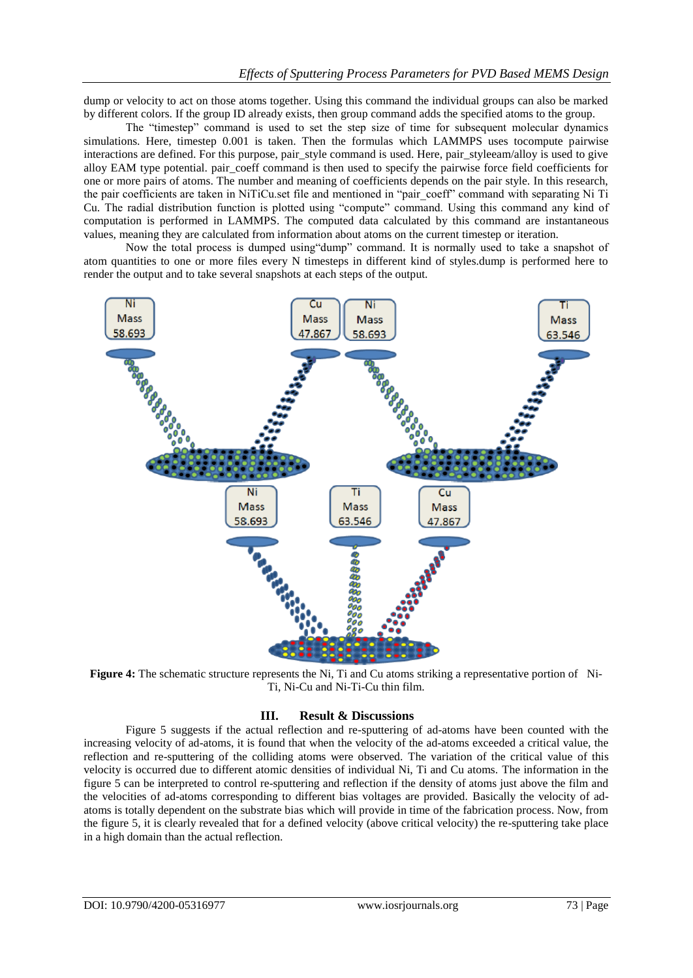dump or velocity to act on those atoms together. Using this command the individual groups can also be marked by different colors. If the group ID already exists, then group command adds the specified atoms to the group.

The "timestep" command is used to set the step size of time for subsequent molecular dynamics simulations. Here, timestep 0.001 is taken. Then the formulas which LAMMPS uses tocompute pairwise interactions are defined. For this purpose, pair\_style command is used. Here, pair\_styleeam/alloy is used to give alloy EAM type potential. pair\_coeff command is then used to specify the pairwise force field coefficients for one or more pairs of atoms. The number and meaning of coefficients depends on the pair style. In this research, the pair coefficients are taken in NiTiCu.set file and mentioned in "pair\_coeff" command with separating Ni Ti Cu. The radial distribution function is plotted using "compute" command. Using this command any kind of computation is performed in LAMMPS. The computed data calculated by this command are instantaneous values, meaning they are calculated from information about atoms on the current timestep or iteration.

Now the total process is dumped using"dump" command. It is normally used to take a snapshot of atom quantities to one or more files every N timesteps in different kind of styles.dump is performed here to render the output and to take several snapshots at each steps of the output.



**Figure 4:** The schematic structure represents the Ni, Ti and Cu atoms striking a representative portion of Ni-Ti, Ni-Cu and Ni-Ti-Cu thin film.

### **III. Result & Discussions**

Figure 5 suggests if the actual reflection and re-sputtering of ad-atoms have been counted with the increasing velocity of ad-atoms, it is found that when the velocity of the ad-atoms exceeded a critical value, the reflection and re-sputtering of the colliding atoms were observed. The variation of the critical value of this velocity is occurred due to different atomic densities of individual Ni, Ti and Cu atoms. The information in the figure 5 can be interpreted to control re-sputtering and reflection if the density of atoms just above the film and the velocities of ad-atoms corresponding to different bias voltages are provided. Basically the velocity of adatoms is totally dependent on the substrate bias which will provide in time of the fabrication process. Now, from the figure 5, it is clearly revealed that for a defined velocity (above critical velocity) the re-sputtering take place in a high domain than the actual reflection.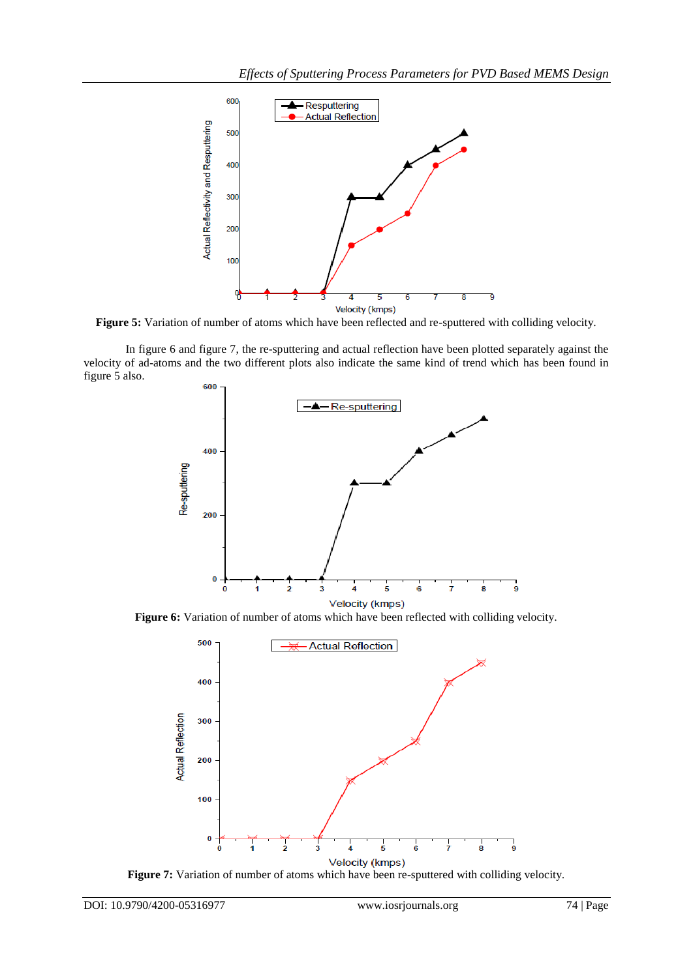

**Figure 5:** Variation of number of atoms which have been reflected and re-sputtered with colliding velocity.

In figure 6 and figure 7, the re-sputtering and actual reflection have been plotted separately against the velocity of ad-atoms and the two different plots also indicate the same kind of trend which has been found in figure 5 also.



**Figure 6:** Variation of number of atoms which have been reflected with colliding velocity.



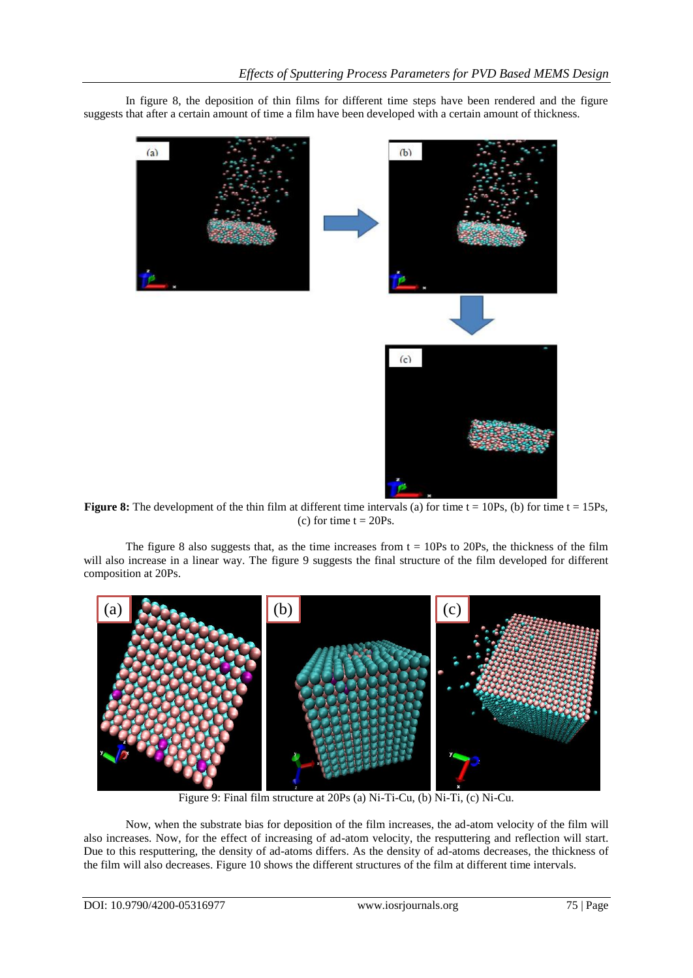In figure 8, the deposition of thin films for different time steps have been rendered and the figure suggests that after a certain amount of time a film have been developed with a certain amount of thickness.



**Figure 8:** The development of the thin film at different time intervals (a) for time  $t = 10Ps$ , (b) for time  $t = 15Ps$ , (c) for time  $t = 20Ps$ .

The figure 8 also suggests that, as the time increases from  $t = 10Ps$  to 20Ps, the thickness of the film will also increase in a linear way. The figure 9 suggests the final structure of the film developed for different composition at 20Ps.



Figure 9: Final film structure at 20Ps (a) Ni-Ti-Cu, (b) Ni-Ti, (c) Ni-Cu.

Now, when the substrate bias for deposition of the film increases, the ad-atom velocity of the film will also increases. Now, for the effect of increasing of ad-atom velocity, the resputtering and reflection will start. Due to this resputtering, the density of ad-atoms differs. As the density of ad-atoms decreases, the thickness of the film will also decreases. Figure 10 shows the different structures of the film at different time intervals.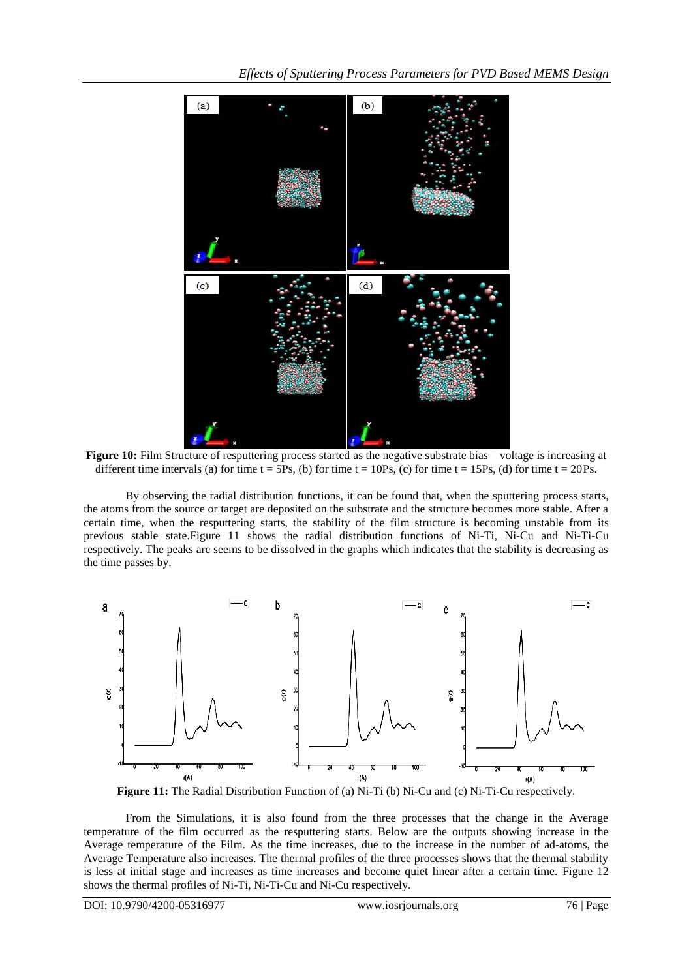

**Figure 10:** Film Structure of resputtering process started as the negative substrate bias voltage is increasing at different time intervals (a) for time  $t = 5Ps$ , (b) for time  $t = 10Ps$ , (c) for time  $t = 15Ps$ , (d) for time  $t = 20Ps$ .

By observing the radial distribution functions, it can be found that, when the sputtering process starts, the atoms from the source or target are deposited on the substrate and the structure becomes more stable. After a certain time, when the resputtering starts, the stability of the film structure is becoming unstable from its previous stable state.Figure 11 shows the radial distribution functions of Ni-Ti, Ni-Cu and Ni-Ti-Cu respectively. The peaks are seems to be dissolved in the graphs which indicates that the stability is decreasing as the time passes by.



**Figure 11:** The Radial Distribution Function of (a) Ni-Ti (b) Ni-Cu and (c) Ni-Ti-Cu respectively.

From the Simulations, it is also found from the three processes that the change in the Average temperature of the film occurred as the resputtering starts. Below are the outputs showing increase in the Average temperature of the Film. As the time increases, due to the increase in the number of ad-atoms, the Average Temperature also increases. The thermal profiles of the three processes shows that the thermal stability is less at initial stage and increases as time increases and become quiet linear after a certain time. Figure 12 shows the thermal profiles of Ni-Ti, Ni-Ti-Cu and Ni-Cu respectively.